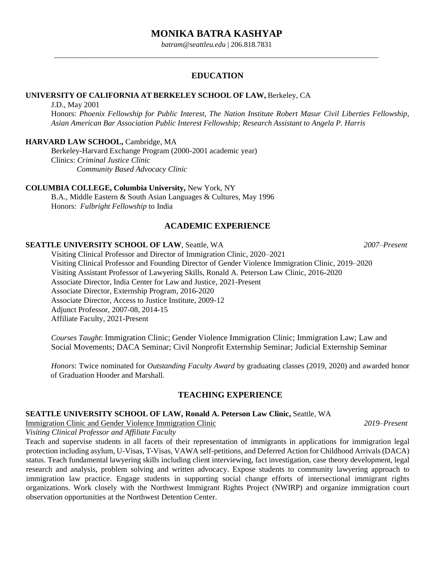# **MONIKA BATRA KASHYAP**

*batram@seattleu.edu* | 206.818.7831 \_\_\_\_\_\_\_\_\_\_\_\_\_\_\_\_\_\_\_\_\_\_\_\_\_\_\_\_\_\_\_\_\_\_\_\_\_\_\_\_\_\_\_\_\_\_\_\_\_\_\_\_\_\_\_\_\_\_\_\_\_\_\_\_\_\_\_\_\_\_\_\_\_\_\_\_\_\_\_\_\_\_\_\_\_\_\_

### **EDUCATION**

### **UNIVERSITY OF CALIFORNIA AT BERKELEY SCHOOL OF LAW,** Berkeley, CA

J.D., May 2001

Honors: *Phoenix Fellowship for Public Interest*, *The Nation Institute Robert Masur Civil Liberties Fellowship*, *Asian American Bar Association Public Interest Fellowship; Research Assistant to Angela P. Harris* 

#### **HARVARD LAW SCHOOL,** Cambridge, MA

Berkeley-Harvard Exchange Program (2000-2001 academic year) Clinics: *Criminal Justice Clinic Community Based Advocacy Clinic* 

#### **COLUMBIA COLLEGE, Columbia University,** New York, NY

B.A., Middle Eastern & South Asian Languages & Cultures, May 1996 Honors: *Fulbright Fellowship* to India

# **ACADEMIC EXPERIENCE**

#### **SEATTLE UNIVERSITY SCHOOL OF LAW**, Seattle, WA *2007–Present*

Visiting Clinical Professor and Director of Immigration Clinic, 2020–2021 Visiting Clinical Professor and Founding Director of Gender Violence Immigration Clinic, 2019–2020 Visiting Assistant Professor of Lawyering Skills, Ronald A. Peterson Law Clinic, 2016-2020 Associate Director, India Center for Law and Justice, 2021-Present Associate Director, Externship Program*,* 2016-2020 Associate Director, Access to Justice Institute, 2009-12 Adjunct Professor, 2007-08, 2014-15 Affiliate Faculty, 2021-Present

*Courses Taught*: Immigration Clinic; Gender Violence Immigration Clinic; Immigration Law; Law and Social Movements; DACA Seminar; Civil Nonprofit Externship Seminar; Judicial Externship Seminar

*Honors*: Twice nominated for *Outstanding Faculty Award* by graduating classes (2019, 2020) and awarded honor of Graduation Hooder and Marshall.

## **TEACHING EXPERIENCE**

#### **SEATTLE UNIVERSITY SCHOOL OF LAW, Ronald A. Peterson Law Clinic,** Seattle, WA

Immigration Clinic and Gender Violence Immigration Clinic *2019–Present*

*Visiting Clinical Professor and Affiliate Faculty*

Teach and supervise students in all facets of their representation of immigrants in applications for immigration legal protection including asylum, U-Visas, T-Visas, VAWA self-petitions, and Deferred Action for Childhood Arrivals (DACA) status. Teach fundamental lawyering skills including client interviewing, fact investigation, case theory development, legal research and analysis, problem solving and written advocacy. Expose students to community lawyering approach to immigration law practice. Engage students in supporting social change efforts of intersectional immigrant rights organizations. Work closely with the Northwest Immigrant Rights Project (NWIRP) and organize immigration court observation opportunities at the Northwest Detention Center.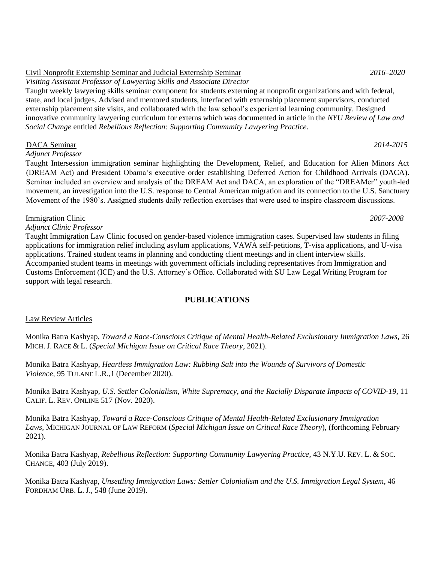# Civil Nonprofit Externship Seminar and Judicial Externship Seminar *2016–2020*

*Visiting Assistant Professor of Lawyering Skills and Associate Director* 

Taught weekly lawyering skills seminar component for students externing at nonprofit organizations and with federal, state, and local judges. Advised and mentored students, interfaced with externship placement supervisors, conducted externship placement site visits, and collaborated with the law school's experiential learning community. Designed innovative community lawyering curriculum for externs which was documented in article in the *NYU Review of Law and Social Change* entitled *Rebellious Reflection: Supporting Community Lawyering Practice*.

### DACA Seminar *2014-2015*

*Adjunct Professor*

Taught Intersession immigration seminar highlighting the Development, Relief, and Education for Alien Minors Act (DREAM Act) and President Obama's executive order establishing Deferred Action for Childhood Arrivals (DACA). Seminar included an overview and analysis of the DREAM Act and DACA, an exploration of the "DREAMer" youth-led movement, an investigation into the U.S. response to Central American migration and its connection to the U.S. Sanctuary Movement of the 1980's. Assigned students daily reflection exercises that were used to inspire classroom discussions.

### Immigration Clinic *2007-2008*

*Adjunct Clinic Professor*

Taught Immigration Law Clinic focused on gender-based violence immigration cases. Supervised law students in filing applications for immigration relief including asylum applications, VAWA self-petitions, T-visa applications, and U-visa applications. Trained student teams in planning and conducting client meetings and in client interview skills. Accompanied student teams in meetings with government officials including representatives from Immigration and Customs Enforcement (ICE) and the U.S. Attorney's Office. Collaborated with SU Law Legal Writing Program for support with legal research.

# **PUBLICATIONS**

#### Law Review Articles

Monika Batra Kashyap, *Toward a Race-Conscious Critique of Mental Health-Related Exclusionary Immigration Laws,* 26 MICH. J. RACE & L. (*Special Michigan Issue on Critical Race Theory*, 2021).

Monika Batra Kashyap, *Heartless Immigration Law: Rubbing Salt into the Wounds of Survivors of Domestic Violence,* 95 TULANE L.R.,1 (December 2020).

Monika Batra Kashyap, *U.S. Settler Colonialism, White Supremacy, and the Racially Disparate Impacts of COVID-19*, 11 CALIF. L. REV. ONLINE 517 (Nov. 2020).

Monika Batra Kashyap, *Toward a Race-Conscious Critique of Mental Health-Related Exclusionary Immigration Laws,* MICHIGAN JOURNAL OF LAW REFORM (*Special Michigan Issue on Critical Race Theory*), (forthcoming February 2021).

Monika Batra Kashyap[,](https://socialchangenyu.com/review/rebellious-reflection-supporting-community-lawyering-practice/) *Rebellious Reflection: Supporting Community Lawyering Practice*, 43 N.Y.U. REV. L. & SOC. CHANGE, 403 (July 2019).

Monika Batra Kashyap[,](https://ir.lawnet.fordham.edu/cgi/viewcontent.cgi?article=2761&context=ulj) *Unsettling Immigration Laws: Settler Colonialism and the U.S. Immigration Lega[l](https://ir.lawnet.fordham.edu/cgi/viewcontent.cgi?article=2761&context=ulj) System*, 46 FORDHAM [U](https://ir.lawnet.fordham.edu/cgi/viewcontent.cgi?article=2761&context=ulj)RB[.](https://ir.lawnet.fordham.edu/cgi/viewcontent.cgi?article=2761&context=ulj) [L](https://ir.lawnet.fordham.edu/cgi/viewcontent.cgi?article=2761&context=ulj). J., 548 (June 2019)[.](https://ir.lawnet.fordham.edu/cgi/viewcontent.cgi?article=2761&context=ulj)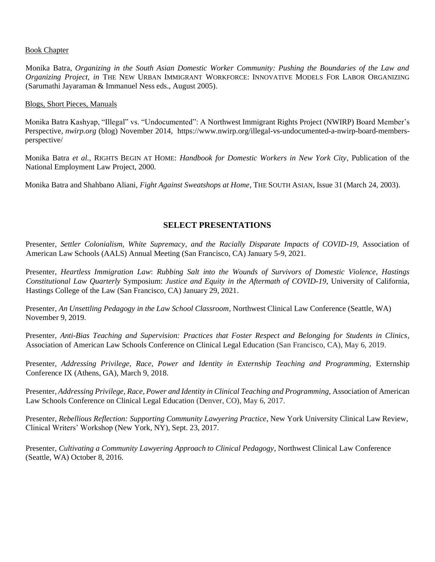#### Book Chapter

Monika Batra, *Organizing in the South Asian Domestic Worker Community: Pushing the Boundaries of the Law and Organizing Project, in* THE NEW URBAN IMMIGRANT WORKFORCE: INNOVATIVE MODELS FOR LABOR ORGANIZING (Sarumathi Jayaraman & Immanuel Ness eds., August 2005).

#### Blogs, Short Pieces, Manuals

Monika Batra Kashyap, "Illegal" vs. "Undocumented": A Northwest Immigrant Rights Project (NWIRP) Board Member's Perspective, *nwirp.org* (blog) November 2014, https://www.nwirp.org/illega[l-vs-undocumented-a-nwirp-board-members](https://www.nwirp.org/illegal-vs-undocumented-a-nwirp-board-members-perspective/)[perspective/](https://www.nwirp.org/illegal-vs-undocumented-a-nwirp-board-members-perspective/)

Monika Batra *et al.,* RIGHTS BEGIN AT HOME: *Handbook for Domestic Workers in New York City*, Publication of the National Employment Law Project, 2000.

Monika Batra and Shahbano Aliani, *Fight Against Sweatshops at Home*, THE SOUTH ASIAN, Issue 31 (March 24, 2003).

# **SELECT PRESENTATIONS**

Presenter, *Settler Colonialism, White Supremacy, and the Racially Disparate Impacts of COVID-19*, Association of American Law Schools (AALS) Annual Meeting (San Francisco, CA) January 5-9, 2021.

Presenter, *Heartless Immigration Law*: *Rubbing Salt into the Wounds of Survivors of Domestic Violence, Hastings Constitutional Law Quarterly* Symposium: *Justice and Equity in the Aftermath of COVID-19*, University of California, Hastings College of the Law (San Francisco, CA) January 29, 2021.

Presenter, *An Unsettling Pedagogy in the Law School Classroom*, Northwest Clinical Law Conference (Seattle, WA) November 9, 2019.

Presenter, *Anti-Bias Teaching and Supervision: Practices that Foster Respect and Belonging for Students in Clinics,*  Association of American Law Schools Conference on Clinical Legal Education (San Francisco, CA), May 6, 2019.

Presenter, *Addressing Privilege, Race, Power and Identity in Externship Teaching and Programming,* Externship Conference IX (Athens, GA), March 9, 2018.

Presenter, *Addressing Privilege, Race, Power and Identity in Clinical Teaching and Programming, Association of American* Law Schools Conference on Clinical Legal Education (Denver, CO), May 6, 2017.

Presenter, *Rebellious Reflection: Supporting Community Lawyering Practice*, New York University Clinical Law Review, Clinical Writers' Workshop (New York, NY), Sept. 23, 2017.

Presenter, *Cultivating a Community Lawyering Approach to Clinical Pedagogy*, Northwest Clinical Law Conference (Seattle, WA) October 8, 2016.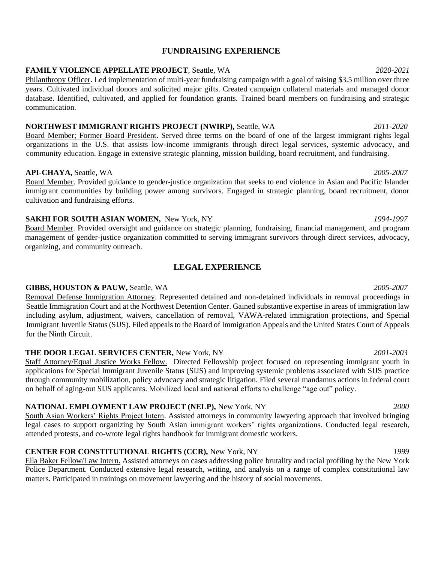# **FUNDRAISING EXPERIENCE**

#### **FAMILY VIOLENCE APPELLATE PROJECT**, Seattle, WA *2020-2021*

Philanthropy Officer. Led implementation of multi-year fundraising campaign with a goal of raising \$3.5 million over three years. Cultivated individual donors and solicited major gifts. Created campaign collateral materials and managed donor database. Identified, cultivated, and applied for foundation grants. Trained board members on fundraising and strategic communication.

# **NORTHWEST IMMIGRANT RIGHTS PROJECT (NWIRP),** Seattle, WA *2011-2020*

Board Member; Former Board President. Served three terms on the board of one of the largest immigrant rights legal organizations in the U.S. that assists low-income immigrants through direct legal services, systemic advocacy, and community education. Engage in extensive strategic planning, mission building, board recruitment, and fundraising.

### **API-CHAYA,** Seattle, WA *2005-2007*

Board Member. Provided guidance to gender-justice organization that seeks to end violence in Asian and Pacific Islander immigrant communities by building power among survivors. Engaged in strategic planning, board recruitment, donor cultivation and fundraising efforts.

## **SAKHI FOR SOUTH ASIAN WOMEN,** New York, NY *1994-1997*

Board Member. Provided oversight and guidance on strategic planning, fundraising, financial management, and program management of gender-justice organization committed to serving immigrant survivors through direct services, advocacy, organizing, and community outreach.

# **LEGAL EXPERIENCE**

# **GIBBS, HOUSTON & PAUW,** Seattle, WA *2005-2007*

Removal Defense Immigration Attorney. Represented detained and non-detained individuals in removal proceedings in Seattle Immigration Court and at the Northwest Detention Center. Gained substantive expertise in areas of immigration law including asylum, adjustment, waivers, cancellation of removal, VAWA-related immigration protections, and Special Immigrant Juvenile Status (SIJS). Filed appeals to the Board of Immigration Appeals and the United States Court of Appeals for the Ninth Circuit.

# **THE DOOR LEGAL SERVICES CENTER,** New York, NY *2001-2003*

Staff Attorney/Equal Justice Works Fellow. Directed Fellowship project focused on representing immigrant youth in applications for Special Immigrant Juvenile Status (SIJS) and improving systemic problems associated with SIJS practice through community mobilization, policy advocacy and strategic litigation. Filed several mandamus actions in federal court on behalf of aging-out SIJS applicants. Mobilized local and national efforts to challenge "age out" policy.

# **NATIONAL EMPLOYMENT LAW PROJECT (NELP),** New York, NY *2000*

South Asian Workers' Rights Project Intern. Assisted attorneys in community lawyering approach that involved bringing legal cases to support organizing by South Asian immigrant workers' rights organizations. Conducted legal research, attended protests, and co-wrote legal rights handbook for immigrant domestic workers.

# **CENTER FOR CONSTITUTIONAL RIGHTS (CCR),** New York, NY*1999*

Ella Baker Fellow/Law Intern. Assisted attorneys on cases addressing police brutality and racial profiling by the New York Police Department. Conducted extensive legal research, writing, and analysis on a range of complex constitutional law matters. Participated in trainings on movement lawyering and the history of social movements.